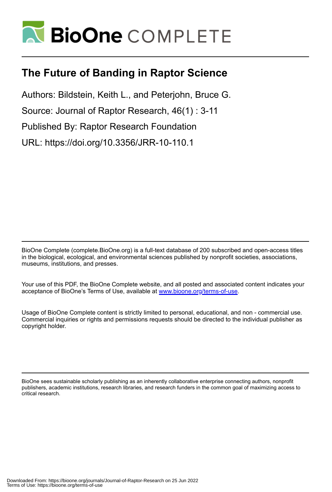

# **The Future of Banding in Raptor Science**

Authors: Bildstein, Keith L., and Peterjohn, Bruce G.

Source: Journal of Raptor Research, 46(1) : 3-11

Published By: Raptor Research Foundation

URL: https://doi.org/10.3356/JRR-10-110.1

BioOne Complete (complete.BioOne.org) is a full-text database of 200 subscribed and open-access titles in the biological, ecological, and environmental sciences published by nonprofit societies, associations, museums, institutions, and presses.

Your use of this PDF, the BioOne Complete website, and all posted and associated content indicates your acceptance of BioOne's Terms of Use, available at www.bioone.org/terms-of-use.

Usage of BioOne Complete content is strictly limited to personal, educational, and non - commercial use. Commercial inquiries or rights and permissions requests should be directed to the individual publisher as copyright holder.

BioOne sees sustainable scholarly publishing as an inherently collaborative enterprise connecting authors, nonprofit publishers, academic institutions, research libraries, and research funders in the common goal of maximizing access to critical research.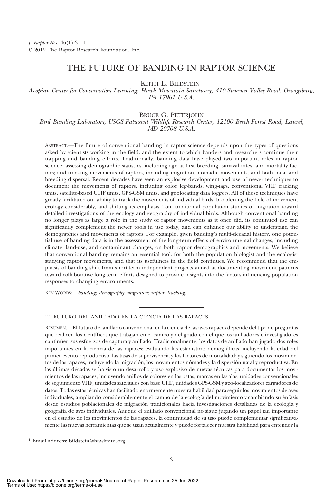# THE FUTURE OF BANDING IN RAPTOR SCIENCE

KEITH L. BILDSTEIN<sup>1</sup>

Acopian Center for Conservation Learning, Hawk Mountain Sanctuary, 410 Summer Valley Road, Orwigsburg, PA 17961 U.S.A.

## BRUCE G. PETERJOHN

Bird Banding Laboratory, USGS Patuxent Wildlife Research Center, 12100 Beech Forest Road, Laurel, MD 20708 U.S.A.

ABSTRACT.—The future of conventional banding in raptor science depends upon the types of questions asked by scientists working in the field, and the extent to which banders and researchers continue their trapping and banding efforts. Traditionally, banding data have played two important roles in raptor science: assessing demographic statistics, including age at first breeding, survival rates, and mortality factors; and tracking movements of raptors, including migration, nomadic movements, and both natal and breeding dispersal. Recent decades have seen an explosive development and use of newer techniques to document the movements of raptors, including color leg-bands, wing-tags, conventional VHF tracking units, satellite-based UHF units, GPS-GSM units, and geolocating data loggers. All of these techniques have greatly facilitated our ability to track the movements of individual birds, broadening the field of movement ecology considerably, and shifting its emphasis from traditional population studies of migration toward detailed investigations of the ecology and geography of individual birds. Although conventional banding no longer plays as large a role in the study of raptor movements as it once did, its continued use can significantly complement the newer tools in use today, and can enhance our ability to understand the demographics and movements of raptors. For example, given banding's multi-decadal history, one potential use of banding data is in the assessment of the long-term effects of environmental changes, including climate, land-use, and contaminant changes, on both raptor demographics and movements. We believe that conventional banding remains an essential tool, for both the population biologist and the ecologist studying raptor movements, and that its usefulness in the field continues. We recommend that the emphasis of banding shift from short-term independent projects aimed at documenting movement patterns toward collaborative long-term efforts designed to provide insights into the factors influencing population responses to changing environments.

KEY WORDS: banding; demography; migration; raptor; tracking.

# EL FUTURO DEL ANILLADO EN LA CIENCIA DE LAS RAPACES

RESUMEN.—El futuro del anillado convencional en la ciencia de las aves rapaces depende del tipo de preguntas que realicen los cientı´ficos que trabajan en el campo y del grado con el que los anilladores e investigadores continúen sus esfuerzos de captura y anillado. Tradicionalmente, los datos de anillado han jugado dos roles importantes en la ciencia de las rapaces: evaluando las estadísticas demográficas, incluyendo la edad del primer evento reproductivo, las tasas de supervivencia y los factores de mortalidad; y siguiendo los movimientos de las rapaces, incluyendo la migración, los movimientos nómades y la dispersión natal y reproductiva. En las últimas décadas se ha visto un desarrollo y uso explosivo de nuevas técnicas para documentar los movimientos de las rapaces, incluyendo anillos de colores en las patas, marcas en las alas, unidades convencionales de seguimiento VHF, unidades satelitales con base UHF, unidades GPS-GSM y geo-localizadores cargadores de datos. Todas estas técnicas han facilitado enormemente nuestra habilidad para seguir los movimientos de aves individuales, ampliando considerablemente el campo de la ecología del movimiento y cambiando su énfasis desde estudios poblacionales de migración tradicionales hacia investigaciones detalladas de la ecología y geografı´a de aves individuales. Aunque el anillado convencional no sigue jugando un papel tan importante en el estudio de los movimientos de las rapaces, la continuidad de su uso puede complementar significativamente las nuevas herramientas que se usan actualmente y puede fortalecer nuestra habilidad para entender la

<sup>1</sup> Email address: bildstein@hawkmtn.org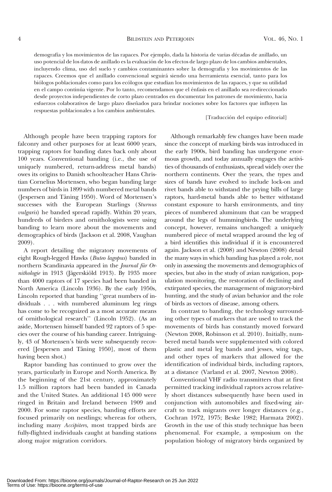demografía y los movimientos de las rapaces. Por ejemplo, dada la historia de varias décadas de anillado, un uso potencial de los datos de anillado es la evaluación de los efectos de largo plazo de los cambios ambientales, incluyendo clima, uso del suelo y cambios contaminantes sobre la demografía y los movimientos de las rapaces. Creemos que el anillado convencional seguirá siendo una herramienta esencial, tanto para los biólogos poblacionales como para los ecólogos que estudian los movimientos de las rapaces, y que su utilidad en el campo continúa vigente. Por lo tanto, recomendamos que el énfasis en el anillado sea re-direccionado desde proyectos independientes de corto plazo centrados en documentar los patrones de movimiento, hacia esfuerzos colaborativos de largo plazo diseñados para brindar nociones sobre los factores que influyen las respuestas poblacionales a los cambios ambientales.

[Traducción del equipo editorial]

Although people have been trapping raptors for falconry and other purposes for at least 6000 years, trapping raptors for banding dates back only about 100 years. Conventional banding (i.e., the use of uniquely numbered, return-address metal bands) owes its origins to Danish schoolteacher Hans Christian Cornelius Mortensen, who began banding large numbers of birds in 1899 with numbered metal bands (Jespersen and Tåning 1950). Word of Mortensen's successes with the European Starlings (Sturnus vulgaris) he banded spread rapidly. Within 20 years, hundreds of birders and ornithologists were using banding to learn more about the movements and demographics of birds (Jackson et al. 2008, Vaughan 2009).

A report detailing the migratory movements of eight Rough-legged Hawks (Buteo lagopus) banded in northern Scandinavia appeared in the *Journal für Or*nithologie in 1913 (Jägerskiöld 1913). By 1935 more than 4000 raptors of 17 species had been banded in North America (Lincoln 1936). By the early 1950s, Lincoln reported that banding ''great numbers of individuals . . . with numbered aluminum leg rings has come to be recognized as a most accurate means of ornithological research'' (Lincoln 1952). (As an aside, Mortensen himself banded 92 raptors of 5 species over the course of his banding career. Intriguingly, 43 of Mortensen's birds were subsequently recovered [Jespersen and Tåning 1950], most of them having been shot.)

Raptor banding has continued to grow over the years, particularly in Europe and North America. By the beginning of the 21st century, approximately 1.5 million raptors had been banded in Canada and the United States. An additional 145 000 were ringed in Britain and Ireland between 1909 and 2000. For some raptor species, banding efforts are focused primarily on nestlings; whereas for others, including many *Accipiters*, most trapped birds are fully-flighted individuals caught at banding stations along major migration corridors.

Although remarkably few changes have been made since the concept of marking birds was introduced in the early 1900s, bird banding has undergone enormous growth, and today annually engages the activities of thousands of enthusiasts, spread widely over the northern continents. Over the years, the types and sizes of bands have evolved to include lock-on and rivet bands able to withstand the prying bills of large raptors, hard-metal bands able to better withstand constant exposure to harsh environments, and tiny pieces of numbered aluminum that can be wrapped around the legs of hummingbirds. The underlying concept, however, remains unchanged: a uniquely numbered piece of metal wrapped around the leg of a bird identifies this individual if it is encountered again. Jackson et al. (2008) and Newton (2008) detail the many ways in which banding has played a role, not only in assessing the movements and demographics of species, but also in the study of avian navigation, population monitoring, the restoration of declining and extirpated species, the management of migratory-bird hunting, and the study of avian behavior and the role of birds as vectors of disease, among others.

In contrast to banding, the technology surrounding other types of markers that are used to track the movements of birds has constantly moved forward (Newton 2008, Robinson et al. 2010). Initially, numbered metal bands were supplemented with colored plastic and metal leg bands and jesses, wing tags, and other types of markers that allowed for the identification of individual birds, including raptors, at a distance (Varland et al. 2007, Newton 2008).

Conventional VHF radio transmitters that at first permitted tracking individual raptors across relatively short distances subsequently have been used in conjunction with automobiles and fixed-wing aircraft to track migrants over longer distances (e.g., Cochran 1972, 1975; Beske 1982; Harmata 2002). Growth in the use of this study technique has been phenomenal. For example, a symposium on the population biology of migratory birds organized by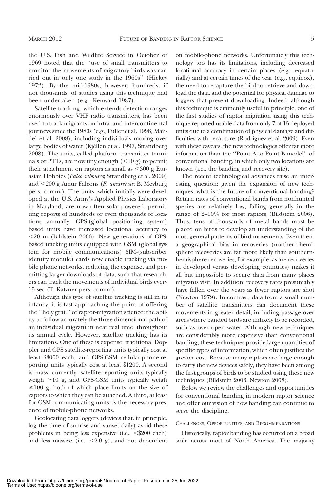the U.S. Fish and Wildlife Service in October of 1969 noted that the ''use of small transmitters to monitor the movements of migratory birds was carried out in only one study in the 1960s'' (Hickey 1972). By the mid-1980s, however, hundreds, if not thousands, of studies using this technique had been undertaken (e.g., Kenward 1987).

Satellite tracking, which extends detection ranges enormously over VHF radio transmitters, has been used to track migrants on intra- and intercontinental journeys since the 1980s (e.g., Fuller et al. 1998, Mandel et al. 2008), including individuals moving over large bodies of water (Kjéllen et al. 1997, Strandberg 2008). The units, called platform transmitter terminals or PTTs, are now tiny enough  $(<10 \text{ g})$  to permit their attachment on raptors as small as  $<300$  g Eurasian Hobbies (Falco subbuteo; Strandberg et al. 2009) and  $\leq$ 200 g Amur Falcons (*F. amurensis*; B. Meyburg pers. comm.). The units, which initially were developed at the U.S. Army's Applied Physics Laboratory in Maryland, are now often solar-powered, permitting reports of hundreds or even thousands of locations annually. GPS-(global positioning system) based units have increased locational accuracy to  $<$  20 m (Bildstein 2006). New generations of GPSbased tracking units equipped with GSM (global system for mobile communications) SIM-(subscriber identity module) cards now enable tracking via mobile phone networks, reducing the expense, and permitting larger downloads of data, such that researchers can track the movements of individual birds every 15 sec (T. Katzner pers. comm.).

Although this type of satellite tracking is still in its infancy, it is fast approaching the point of offering the ''holy grail'' of raptor-migration science: the ability to follow accurately the three-dimensional path of an individual migrant in near real time, throughout its annual cycle. However, satellite tracking has its limitations. One of these is expense: traditional Doppler and GPS satellite-reporting units typically cost at least \$3000 each, and GPS-GSM cellular-phone-reporting units typically cost at least \$1200. A second is mass: currently, satellite-reporting units typically weigh  $\geq 10$  g, and GPS-GSM units typically weigh  $\geq 100$  g, both of which place limits on the size of raptors to which they can be attached. A third, at least for GSM-communicating units, is the necessary presence of mobile-phone networks.

Geolocating data loggers (devices that, in principle, log the time of sunrise and sunset daily) avoid these problems in being less expensive (i.e.,  $\leq$ \$200 each) and less massive (i.e.,  $\leq 2.0$  g), and not dependent on mobile-phone networks. Unfortunately this technology too has its limitations, including decreased locational accuracy in certain places (e.g., equatorially) and at certain times of the year (e.g., equinox), the need to recapture the bird to retrieve and download the data, and the potential for physical damage to loggers that prevent downloading. Indeed, although this technique is eminently useful in principle, one of the first studies of raptor migration using this technique reported usable data from only 7 of 15 deployed units due to a combination of physical damage and difficulties with recapture (Rodríguez et al. 2009). Even with these caveats, the new technologies offer far more information than the ''Point A to Point B model'' of conventional banding, in which only two locations are known (i.e., the banding and recovery site).

The recent technological advances raise an interesting question: given the expansion of new techniques, what is the future of conventional banding? Return rates of conventional bands from nonhunted species are relatively low, falling generally in the range of 2–10% for most raptors (Bildstein 2006). Thus, tens of thousands of metal bands must be placed on birds to develop an understanding of the most general patterns of bird movements. Even then, a geographical bias in recoveries (northern-hemisphere recoveries are far more likely than southernhemisphere recoveries, for example, as are recoveries in developed versus developing countries) makes it all but impossible to secure data from many places migrants visit. In addition, recovery rates presumably have fallen over the years as fewer raptors are shot (Newton 1979). In contrast, data from a small number of satellite transmitters can document these movements in greater detail, including passage over areas where banded birds are unlikely to be recorded, such as over open water. Although new techniques are considerably more expensive than conventional banding, these techniques provide large quantities of specific types of information, which often justifies the greater cost. Because many raptors are large enough to carry the new devices safely, they have been among the first groups of birds to be studied using these new techniques (Bildstein 2006, Newton 2008).

Below we review the challenges and opportunities for conventional banding in modern raptor science and offer our vision of how banding can continue to serve the discipline.

#### CHALLENGES, OPPORTUNITIES, AND RECOMMENDATIONS

Historically, raptor banding has occurred on a broad scale across most of North America. The majority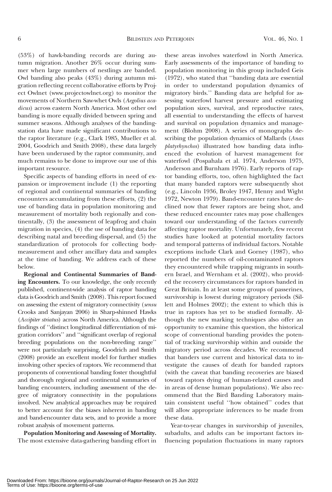(53%) of hawk-banding records are during autumn migration. Another 26% occur during summer when large numbers of nestlings are banded. Owl banding also peaks (43%) during autumn migration reflecting recent collaborative efforts by Project Owlnet (www.projectowlnet.org) to monitor the movements of Northern Saw-whet Owls (Aegolius acadicus) across eastern North America. Most other owl banding is more equally divided between spring and summer seasons. Although analyses of the bandingstation data have made significant contributions to the raptor literature (e.g., Clark 1985, Mueller et al. 2004, Goodrich and Smith 2008), these data largely have been underused by the raptor community, and much remains to be done to improve our use of this important resource.

Specific aspects of banding efforts in need of expansion or improvement include (1) the reporting of regional and continental summaries of banding encounters accumulating from these efforts, (2) the use of banding data in population monitoring and measurement of mortality both regionally and continentally, (3) the assessment of leapfrog and chain migration in species, (4) the use of banding data for describing natal and breeding dispersal, and (5) the standardization of protocols for collecting bodymeasurement and other ancillary data and samples at the time of banding. We address each of these below.

Regional and Continental Summaries of Banding Encounters. To our knowledge, the only recently published, continent-wide analysis of raptor banding data is Goodrich and Smith (2008). This report focused on assessing the extent of migratory connectivity (sensu Crooks and Sanjayan 2006) in Sharp-shinned Hawks (Accipiter striatus) across North America. Although the findings of ''distinct longitudinal differentiation of migration corridors'' and ''significant overlap of regional breeding populations on the non-breeding range'' were not particularly surprising, Goodrich and Smith (2008) provide an excellent model for further studies involving other species of raptors. We recommend that proponents of conventional banding foster thoughtful and thorough regional and continental summaries of banding encounters, including assessment of the degree of migratory connectivity in the populations involved. New analytical approaches may be required to better account for the biases inherent in banding and band-encounter data sets, and to provide a more robust analysis of movement patterns.

Population Monitoring and Assessing of Mortality. The most extensive data-gathering banding effort in

these areas involves waterfowl in North America. Early assessments of the importance of banding to population monitoring in this group included Geis (1972), who stated that ''banding data are essential in order to understand population dynamics of migratory birds.'' Banding data are helpful for assessing waterfowl harvest pressure and estimating population sizes, survival, and reproductive rates, all essential to understanding the effects of harvest and survival on population dynamics and management (Blohm 2008). A series of monographs describing the population dynamics of Mallards (Anas platyrhynchos) illustrated how banding data influenced the evolution of harvest management for waterfowl (Pospahala et al. 1974, Anderson 1975, Anderson and Burnham 1976). Early reports of raptor banding efforts, too, often highlighted the fact that many banded raptors were subsequently shot (e.g., Lincoln 1936, Broley 1947, Henny and Wight 1972, Newton 1979). Band-encounter rates have declined now that fewer raptors are being shot, and these reduced encounter rates may pose challenges toward our understanding of the factors currently affecting raptor mortality. Unfortunately, few recent studies have looked at potential mortality factors and temporal patterns of individual factors. Notable exceptions include Clark and Gorney (1987), who reported the numbers of oil-contaminated raptors they encountered while trapping migrants in southern Israel, and Wernham et al. (2002), who provided the recovery circumstances for raptors banded in Great Britain. In at least some groups of passerines, survivorship is lowest during migratory periods (Sillett and Holmes 2002); the extent to which this is true in raptors has yet to be studied formally. Although the new marking techniques also offer an opportunity to examine this question, the historical scope of conventional banding provides the potential of tracking survivorship within and outside the migratory period across decades. We recommend that banders use current and historical data to investigate the causes of death for banded raptors (with the caveat that banding recoveries are biased toward raptors dying of human-related causes and in areas of dense human populations). We also recommend that the Bird Banding Laboratory maintain consistent useful ''how obtained'' codes that will allow appropriate inferences to be made from these data.

Year-to-year changes in survivorship of juveniles, subadults, and adults can be important factors influencing population fluctuations in many raptors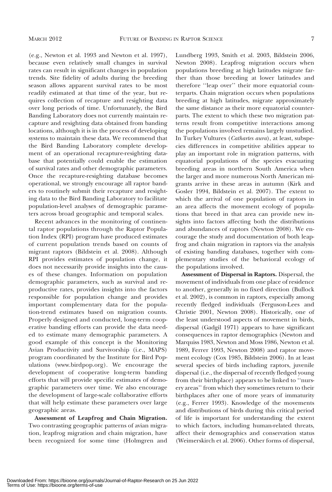(e.g., Newton et al. 1993 and Newton et al. 1997), because even relatively small changes in survival rates can result in significant changes in population trends. Site fidelity of adults during the breeding season allows apparent survival rates to be most readily estimated at that time of the year, but requires collection of recapture and resighting data over long periods of time. Unfortunately, the Bird Banding Laboratory does not currently maintain recapture and resighting data obtained from banding locations, although it is in the process of developing systems to maintain these data. We recommend that the Bird Banding Laboratory complete development of an operational recapture-resighting database that potentially could enable the estimation of survival rates and other demographic parameters. Once the recapture-resighting database becomes operational, we strongly encourage all raptor banders to routinely submit their recapture and resighting data to the Bird Banding Laboratory to facilitate population-level analyses of demographic parameters across broad geographic and temporal scales.

Recent advances in the monitoring of continental raptor populations through the Raptor Population Index (RPI) program have produced estimates of current population trends based on counts of migrant raptors (Bildstein et al. 2008). Although RPI provides estimates of population change, it does not necessarily provide insights into the causes of these changes. Information on population demographic parameters, such as survival and reproductive rates, provides insights into the factors responsible for population change and provides important complementary data for the population-trend estimates based on migration counts. Properly designed and conducted, long-term cooperative banding efforts can provide the data needed to estimate many demographic parameters. A good example of this concept is the Monitoring Avian Productivity and Survivorship (i.e., MAPS) program coordinated by the Institute for Bird Populations (www.birdpop.org). We encourage the development of cooperative long-term banding efforts that will provide specific estimates of demographic parameters over time. We also encourage the development of large-scale collaborative efforts that will help estimate these parameters over large geographic areas.

Assessment of Leapfrog and Chain Migration. Two contrasting geographic patterns of avian migration, leapfrog migration and chain migration, have been recognized for some time (Holmgren and

Lundberg 1993, Smith et al. 2003, Bildstein 2006, Newton 2008). Leapfrog migration occurs when populations breeding at high latitudes migrate farther than those breeding at lower latitudes and therefore ''leap over'' their more equatorial counterparts. Chain migration occurs when populations breeding at high latitudes, migrate approximately the same distance as their more equatorial counterparts. The extent to which these two migration patterns result from competitive interactions among the populations involved remains largely unstudied. In Turkey Vultures (Cathartes aura), at least, subspecies differences in competitive abilities appear to play an important role in migration patterns, with equatorial populations of the species evacuating breeding areas in northern South America when the larger and more numerous North American migrants arrive in these areas in autumn (Kirk and Gosler 1994, Bildstein et al. 2007). The extent to which the arrival of one population of raptors in an area affects the movement ecology of populations that breed in that area can provide new insights into factors affecting both the distributions and abundances of raptors (Newton 2008). We encourage the study and documentation of both leapfrog and chain migration in raptors via the analysis of existing banding databases, together with complementary studies of the behavioral ecology of the populations involved.

Assessment of Dispersal in Raptors. Dispersal, the movement of individuals from one place of residence to another, generally in no fixed direction (Bullock et al. 2002), is common in raptors, especially among recently fledged individuals (Ferguson-Lees and Christie 2001, Newton 2008). Historically, one of the least understood aspects of movement in birds, dispersal (Gadgil 1971) appears to have significant consequences in raptor demographics (Newton and Marquiss 1983, Newton and Moss 1986, Newton et al. 1989, Ferrer 1993, Newton 2008) and raptor movement ecology (Cox 1985, Bildstein 2006). In at least several species of birds including raptors, juvenile dispersal (i.e., the dispersal of recently fledged young from their birthplace) appears to be linked to ''nursery areas'' from which they sometimes return to their birthplaces after one of more years of immaturity (e.g., Ferrer 1993). Knowledge of the movements and distributions of birds during this critical period of life is important for understanding the extent to which factors, including human-related threats, affect their demographics and conservation status (Weimerskirch et al. 2006). Other forms of dispersal,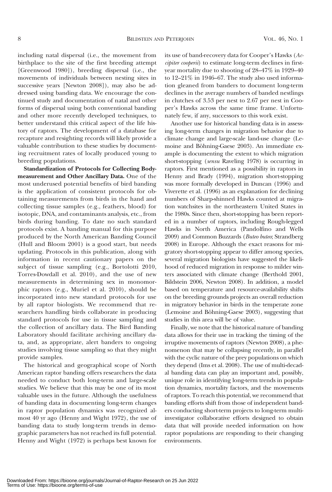including natal dispersal (i.e., the movement from birthplace to the site of the first breeding attempt [Greenwood 1980]), breeding dispersal (i.e., the movements of individuals between nesting sites in successive years [Newton 2008]), may also be addressed using banding data. We encourage the continued study and documentation of natal and other forms of dispersal using both conventional banding and other more recently developed techniques, to better understand this critical aspect of the life history of raptors. The development of a database for recapture and resighting records will likely provide a valuable contribution to these studies by documenting recruitment rates of locally produced young to breeding populations.

Standardization of Protocols for Collecting Bodymeasurement and Other Ancillary Data. One of the most underused potential benefits of bird banding is the application of consistent protocols for obtaining measurements from birds in the hand and collecting tissue samples (e.g., feathers, blood) for isotopic, DNA, and contaminants analysis, etc., from birds during banding. To date no such standard protocols exist. A banding manual for this purpose produced by the North American Banding Council (Hull and Bloom 2001) is a good start, but needs updating. Protocols in this publication, along with information in recent cautionary papers on the subject of tissue sampling (e.g., Bortolotti 2010, Torres-Dowdall et al. 2010), and the use of new measurements in determining sex in monomorphic raptors (e.g., Muriel et al. 2010), should be incorporated into new standard protocols for use by all raptor biologists. We recommend that researchers handling birds collaborate in producing standard protocols for use in tissue sampling and the collection of ancillary data. The Bird Banding Laboratory should facilitate archiving ancillary data, and, as appropriate, alert banders to ongoing studies involving tissue sampling so that they might provide samples.

The historical and geographical scope of North American raptor banding offers researchers the data needed to conduct both long-term and large-scale studies. We believe that this may be one of its most valuable uses in the future. Although the usefulness of banding data in documenting long-term changes in raptor population dynamics was recognized almost 40 yr ago (Henny and Wight 1972), the use of banding data to study long-term trends in demographic parameters has not reached its full potential. Henny and Wight (1972) is perhaps best known for

its use of band-recovery data for Cooper's Hawks (Accipiter cooperii) to estimate long-term declines in firstyear mortality due to shooting of 28–47% in 1929–40 to 12–21% in 1946–67. The study also used information gleaned from banders to document long-term declines in the average numbers of banded nestlings in clutches of 3.53 per nest to 2.67 per nest in Cooper's Hawks across the same time frame. Unfortunately few, if any, successors to this work exist.

Another use for historical banding data is in assessing long-term changes in migration behavior due to climate change and large-scale land-use change (Lemoine and Böhning-Gaese 2003). An immediate example is documenting the extent to which migration short-stopping (sensu Raveling 1978) is occurring in raptors. First mentioned as a possibility in raptors in Henny and Brady (1994), migration short-stopping was more formally developed in Duncan (1996) and Viverette et al. (1996) as an explanation for declining numbers of Sharp-shinned Hawks counted at migration watchsites in the northeastern United States in the 1980s. Since then, short-stopping has been reported in a number of raptors, including Rough-legged Hawks in North America (Pandolfino and Wells 2009) and Common Buzzards (Buteo buteo; Strandberg 2008) in Europe. Although the exact reasons for migratory short-stopping appear to differ among species, several migration biologists have suggested the likelihood of reduced migration in response to milder winters associated with climate change (Berthold 2001, Bildstein 2006, Newton 2008). In addition, a model based on temperature and resource-availability shifts on the breeding grounds projects an overall reduction in migratory behavior in birds in the temperate zone (Lemoine and Böhning-Gaese 2003), suggesting that studies in this area will be of value.

Finally, we note that the historical nature of banding data allows for their use in tracking the timing of the irruptive movements of raptors (Newton 2008), a phenomenon that may be collapsing recently, in parallel with the cyclic nature of the prey populations on which they depend (Ims et al. 2008). The use of multi-decadal banding data can play an important and, possibly, unique role in identifying long-term trends in population dynamics, mortality factors, and the movements of raptors. To reach this potential, we recommend that banding efforts shift from those of independent banders conducting short-term projects to long-term multiinvestigator collaborative efforts designed to obtain data that will provide needed information on how raptor populations are responding to their changing environments.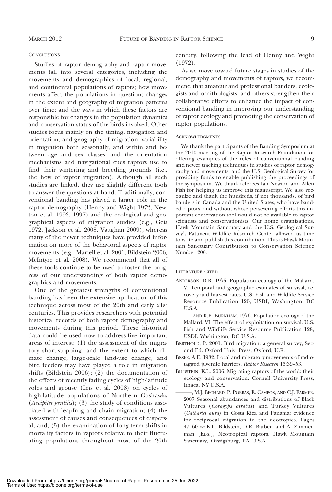#### **CONCLUSIONS**

Studies of raptor demography and raptor movements fall into several categories, including the movements and demographics of local, regional, and continental populations of raptors; how movements affect the populations in question; changes in the extent and geography of migration patterns over time; and the ways in which these factors are responsible for changes in the population dynamics and conservation status of the birds involved. Other studies focus mainly on the timing, navigation and orientation, and geography of migration; variability in migration both seasonally, and within and between age and sex classes; and the orientation mechanisms and navigational cues raptors use to find their wintering and breeding grounds (i.e., the how of raptor migration). Although all such studies are linked, they use slightly different tools to answer the questions at hand. Traditionally, conventional banding has played a larger role in the raptor demography (Henny and Wight 1972, Newton et al. 1993, 1997) and the ecological and geographical aspects of migration studies (e.g., Geis 1972, Jackson et al. 2008, Vaughan 2009), whereas many of the newer techniques have provided information on more of the behavioral aspects of raptor movements (e.g., Martell et al. 2001, Bildstein 2006, McIntyre et al. 2008). We recommend that all of these tools continue to be used to foster the progress of our understanding of both raptor demographics and movements.

One of the greatest strengths of conventional banding has been the extensive application of this technique across most of the 20th and early 21st centuries. This provides researchers with potential historical records of both raptor demography and movements during this period. These historical data could be used now to address five important areas of interest: (1) the assessment of the migratory short-stopping, and the extent to which climate change, large-scale land-use change, and bird feeders may have played a role in migration shifts (Bildstein 2006); (2) the documentation of the effects of recently fading cycles of high-latitude voles and grouse (Ims et al. 2008) on cycles of high-latitude populations of Northern Goshawks (Accipiter gentilis); (3) the study of conditions associated with leapfrog and chain migration; (4) the assessment of causes and consequences of dispersal, and; (5) the examination of long-term shifts in mortality factors in raptors relative to their fluctuating populations throughout most of the 20th century, following the lead of Henny and Wight (1972).

As we move toward future stages in studies of the demography and movements of raptors, we recommend that amateur and professional banders, ecologists and ornithologists, and others strengthen their collaborative efforts to enhance the impact of conventional banding in improving our understanding of raptor ecology and promoting the conservation of raptor populations.

### **ACKNOWLEDGMENTS**

We thank the participants of the Banding Symposium at the 2010 meeting of the Raptor Research Foundation for offering examples of the roles of conventional banding and newer tracking techniques in studies of raptor demography and movements, and the U.S. Geological Survey for providing funds to enable publishing the proceedings of the symposium. We thank referees Ian Newton and Allen Fish for helping us improve this manuscript. We also recognize and thank the hundreds, if not thousands, of bird banders in Canada and the United States, who have banded raptors, and without whose persevering efforts this important conservation tool would not be available to raptor scientists and conservationists. Our home organizations, Hawk Mountain Sanctuary and the U.S. Geological Survey's Patuxent Wildlife Research Center allowed us time to write and publish this contribution. This is Hawk Mountain Sanctuary Contribution to Conservation Science Number 206.

#### LITERATURE CITED

- ANDERSON, D.R. 1975. Population ecology of the Mallard. V. Temporal and geographic estimates of survival, recovery and harvest rates. U.S. Fish and Wildlife Service Resource Publication 125, USDI, Washington, DC U.S.A.
	- ——— AND K.P. BURNHAM. 1976. Population ecology of the Mallard. VI. The effect of exploitation on survival. U.S. Fish and Wildlife Service Resource Publication 128, USDI, Washington, DC U.S.A.
- BERTHOLD, P. 2001. Bird migration: a general survey, Second Ed. Oxford Univ. Press, Oxford, U.K.
- BESKE, A.E. 1982. Local and migratory movements of radiotagged juvenile harriers. Raptor Research 16:39–53.
- BILDSTEIN, K.L. 2006. Migrating raptors of the world: their ecology and conservation. Cornell University Press, Ithaca, NY U.S.A.
- ———, M.J. BECHARD, P. PORRAS, E. CAMPOS, AND C.J. FARMER. 2007. Seasonal abundances and distributions of Black Vultures (Coragyps atratus) and Turkey Vultures (Cathartes aura) in Costa Rica and Panama: evidence for reciprocal migration in the neotropics. Pages 47–60 in K.L. Bildstein, D.R. Barber, and A. Zimmerman [EDS.], Neotropical raptors. Hawk Mountain Sanctuary, Orwigsburg, PA U.S.A.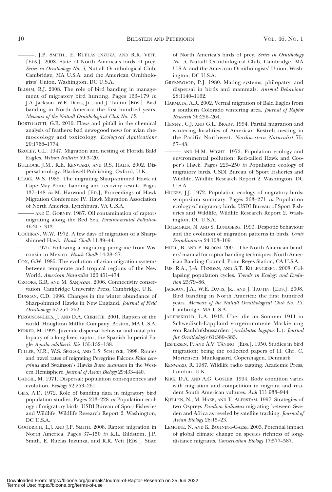———, J.P. SMITH., E. RUELAS INZUZA, AND R.R. VEIT. [EDS.]. 2008. State of North America's birds of prey. Series in Ornithology No. 3, Nuttall Ornithological Club, Cambridge, MA U.S.A. and the American Ornithologists' Union, Washington, DC U.S.A.

- BLOHM, R.J. 2008. The role of bird banding in management of migratory bird hunting. Pages 163–179 in J.A. Jackson, W.E. Davis, Jr., and J. Tautin [EDS.]. Bird banding in North America: the first hundred years. Memoirs of the Nuttall Ornithological Club No. 15.
- BORTOLOTTI, G.R. 2010. Flaws and pitfall in the chemical analysis of feathers: bad news-good news for avian chemoecology and toxicology. Ecological Applications 20:1766–1774.
- BROLEY, C.L. 1947. Migration and nesting of Florida Bald Eagles. Wilson Bulletin 59:3–20.
- BULLOCK, J.M., R.E. KENWARD, AND R.S. HALIS. 2002. Dispersal ecology. Blackwell Publishing, Oxford, U.K.
- CLARK, W.S. 1985. The migrating Sharp-shinned Hawk at Cape May Point: banding and recovery results. Pages 137–148 in M. Harwood [ED.], Proceedings of Hawk Migration Conference IV. Hawk Migration Association of North America, Lynchburg, VA U.S.A.

——— AND E. GORNEY. 1987. Oil contamination of raptors migrating along the Red Sea. Environmental Pollution 46:307–313.

- COCHRAN, W.W. 1972. A few days of migration of a Sharpshinned Hawk. Hawk Chalk 11:39–44.
- ———. 1975. Following a migrating peregrine from Wisconsin to Mexico. Hawk Chalk 14:28–37.
- COX, G.W. 1985. The evolution of avian migration systems between temperate and tropical regions of the New World. American Naturalist 126:451–474.
- CROOKS, K.R. AND M. SANJAYAN. 2006. Connectivity conservation. Cambridge University Press, Cambridge, U.K.
- DUNCAN, C.D. 1996. Changes in the winter abundance of Sharp-shinned Hawks in New England. Journal of Field Ornithology 67:254–262.
- FERGUSON-LEES, J. AND D.A. CHRISTIE. 2001. Raptors of the world. Houghton Mifflin Company, Boston, MA U.S.A.
- FERRER, M. 1993. Juvenile dispersal behavior and natal philopatry of a long-lived raptor, the Spanish Imperial Eagle Aquila adalberti. Ibis 135:132–138.
- FULLER, M.R., W.S. SEEGAR, AND L.S. SCHUECK. 1998. Routes and travel rates of migrating Peregrine Falcons Falco peregrinus and Swainson's Hawks Buteo swainsoni in the Western Hemisphere. Journal of Avian Biology 29:433–440.

GADGIL, M. 1971. Dispersal: population consequences and evolution. Ecology 52:253–261.

- GEIS, A.D. 1972. Role of banding data in migratory bird population studies. Pages 213–228 in Population ecology of migratory birds. USDI Bureau of Sport Fisheries and Wildlife, Wildlife Research Report 2. Washington, DC U.S.A.
- GOODRICH, L.J. AND J.P. SMITH. 2008. Raptor migration in North America. Pages 37–150 in K.L. Bildstein, J.P. Smith, E. Ruelas Inzunza, and R.R. Veit [EDS.], State

of North America's birds of prey. Series in Ornithology No. 3, Nuttall Ornithological Club, Cambridge, MA U.S.A. and the American Ornithologists' Union, Washington, DC U.S.A.

- GREENWOOD, P.J. 1980. Mating systems, philopatry, and dispersal in birds and mammals. Animal Behaviour 28:1140–1162.
- HARMATA, A.R. 2002. Vernal migration of Bald Eagles from a southern Colorado wintering area. Journal of Raptor Research 36:256–264.
- HENNY., C.J. AND G.L. BRADY. 1994. Partial migration and wintering localities of American Kestrels nesting in the Pacific Northwest. Northwestern Naturalist 75: 37–43.
- ——— AND H.M. WIGHT. 1972. Population ecology and environmental pollution: Red-tailed Hawk and Cooper's Hawk. Pages 229–250 in Population ecology of migratory birds. USDI Bureau of Sport Fisheries and Wildlife, Wildlife Research Report 2. Washington, DC U.S.A.
- HICKEY, J.J. 1972. Population ecology of migratory birds: symposium summary. Pages 263–271 in Population ecology of migratory birds. USDI Bureau of Sport Fisheries and Wildlife, Wildlife Research Report 2. Washington, DC U.S.A.
- HOLMGREN, N. AND S. LUNDBERG. 1993. Despotic behaviour and the evolution of migration patterns in birds. Ornis Scandinavica 24:103–109.
- HULL, B. AND P. BLOOM. 2001. The North American banders' manual for raptor banding techniques. North American Banding Council, Point Reyes Station, CA U.S.A.
- IMS, R.A., J.-A. HENDEN, AND S.T. KILLENGREEN. 2008. Collapsing population cycles. Trends in Ecology and Evolution 23:79–86.
- JACKSON, J.A., W.E. DAVIS, JR., AND J. TAUTIN. [EDS.]. 2008. Bird banding in North America: the first hundred years. Memoirs of the Nuttall Ornithological Club No. 15. Cambridge, MA U.S.A.
- JÄGERSKIÖLD, L.A. 1913. Über die im Sommer 1911 in Schwedisch-Lappland vorgenommene Markierung von Rauhfufsbussarden (Archibuteo lagopus L.). Journal für Ornithologie 61:380-383.
- JESPERSEN, P. AND Å.V. TÅNING. [EDS.]. 1950. Studies in bird migration: being the collected papers of H. Chr. C. Mortensen. Munksgaard, Copenhagen, Denmark.
- KENWARD, R. 1987. Wildlife radio tagging. Academic Press, London, U.K.
- KIRK, D.A. AND A.G. GOSLER. 1994. Body condition varies with migration and competition in migrant and resident South American vultures. Auk 111:933–944.
- KJÉLLEN, N., M. HAKE, AND T. ALERSTAM. 1997. Strategies of two Ospreys Pandion haliaetus migrating between Sweden and Africa as reveled by satellite tracking. Journal of Avian Biology 28:15–23.
- LEMOINE, N. AND K. BÖHNING-GAESE. 2003. Potential impact of global climate change on species richness of longdistance migrants. Conservation Biology 17:577–587.